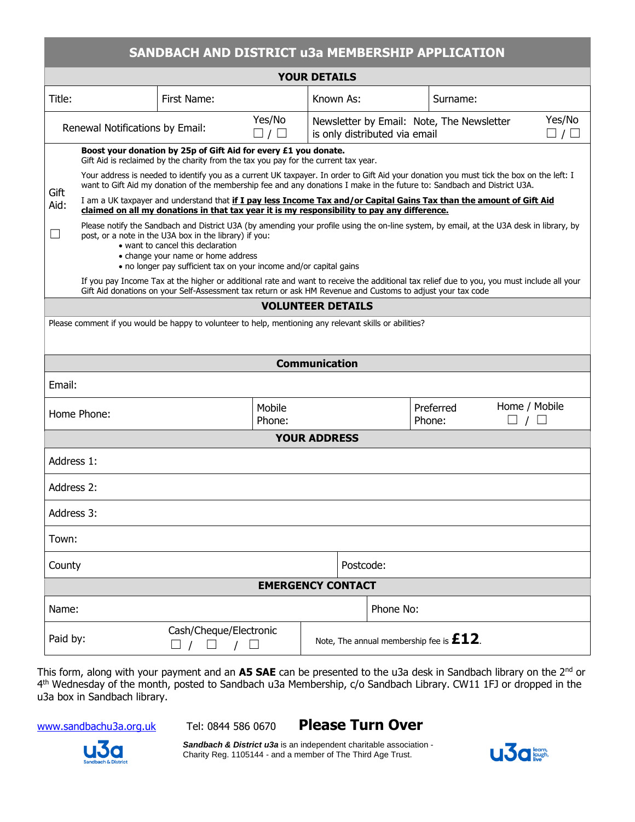| SANDBACH AND DISTRICT u3a MEMBERSHIP APPLICATION                                                        |                                                                                                                                                                                                                                                                                                                                                     |             |                         |                                            |                                                                            |  |                                                  |  |                                 |  |
|---------------------------------------------------------------------------------------------------------|-----------------------------------------------------------------------------------------------------------------------------------------------------------------------------------------------------------------------------------------------------------------------------------------------------------------------------------------------------|-------------|-------------------------|--------------------------------------------|----------------------------------------------------------------------------|--|--------------------------------------------------|--|---------------------------------|--|
| <b>YOUR DETAILS</b>                                                                                     |                                                                                                                                                                                                                                                                                                                                                     |             |                         |                                            |                                                                            |  |                                                  |  |                                 |  |
| Title:                                                                                                  |                                                                                                                                                                                                                                                                                                                                                     | First Name: |                         | Known As:                                  |                                                                            |  | Surname:                                         |  |                                 |  |
| Renewal Notifications by Email:                                                                         |                                                                                                                                                                                                                                                                                                                                                     |             | Yes/No<br>$\Box / \Box$ |                                            | Newsletter by Email: Note, The Newsletter<br>is only distributed via email |  |                                                  |  | Yes/No<br>$\square$ / $\square$ |  |
|                                                                                                         | Boost your donation by 25p of Gift Aid for every £1 you donate.<br>Gift Aid is reclaimed by the charity from the tax you pay for the current tax year.                                                                                                                                                                                              |             |                         |                                            |                                                                            |  |                                                  |  |                                 |  |
| Gift                                                                                                    | Your address is needed to identify you as a current UK taxpayer. In order to Gift Aid your donation you must tick the box on the left: I<br>want to Gift Aid my donation of the membership fee and any donations I make in the future to: Sandbach and District U3A.                                                                                |             |                         |                                            |                                                                            |  |                                                  |  |                                 |  |
| Aid:                                                                                                    | I am a UK taxpayer and understand that if I pay less Income Tax and/or Capital Gains Tax than the amount of Gift Aid<br>claimed on all my donations in that tax year it is my responsibility to pay any difference.                                                                                                                                 |             |                         |                                            |                                                                            |  |                                                  |  |                                 |  |
| $\vert \ \ \vert$                                                                                       | Please notify the Sandbach and District U3A (by amending your profile using the on-line system, by email, at the U3A desk in library, by<br>post, or a note in the U3A box in the library) if you:<br>• want to cancel this declaration<br>• change your name or home address<br>• no longer pay sufficient tax on your income and/or capital gains |             |                         |                                            |                                                                            |  |                                                  |  |                                 |  |
|                                                                                                         | If you pay Income Tax at the higher or additional rate and want to receive the additional tax relief due to you, you must include all your<br>Gift Aid donations on your Self-Assessment tax return or ask HM Revenue and Customs to adjust your tax code                                                                                           |             |                         |                                            |                                                                            |  |                                                  |  |                                 |  |
| <b>VOLUNTEER DETAILS</b>                                                                                |                                                                                                                                                                                                                                                                                                                                                     |             |                         |                                            |                                                                            |  |                                                  |  |                                 |  |
| Please comment if you would be happy to volunteer to help, mentioning any relevant skills or abilities? |                                                                                                                                                                                                                                                                                                                                                     |             |                         |                                            |                                                                            |  |                                                  |  |                                 |  |
|                                                                                                         |                                                                                                                                                                                                                                                                                                                                                     |             |                         |                                            |                                                                            |  |                                                  |  |                                 |  |
| <b>Communication</b>                                                                                    |                                                                                                                                                                                                                                                                                                                                                     |             |                         |                                            |                                                                            |  |                                                  |  |                                 |  |
| Email:                                                                                                  |                                                                                                                                                                                                                                                                                                                                                     |             |                         |                                            |                                                                            |  |                                                  |  |                                 |  |
| Home Phone:                                                                                             |                                                                                                                                                                                                                                                                                                                                                     |             | Mobile<br>Phone:        |                                            |                                                                            |  | Home / Mobile<br>Preferred<br>Phone:<br>$\Box$ / |  |                                 |  |
| <b>YOUR ADDRESS</b>                                                                                     |                                                                                                                                                                                                                                                                                                                                                     |             |                         |                                            |                                                                            |  |                                                  |  |                                 |  |
| Address 1:                                                                                              |                                                                                                                                                                                                                                                                                                                                                     |             |                         |                                            |                                                                            |  |                                                  |  |                                 |  |
| Address 2:                                                                                              |                                                                                                                                                                                                                                                                                                                                                     |             |                         |                                            |                                                                            |  |                                                  |  |                                 |  |
| Address 3:                                                                                              |                                                                                                                                                                                                                                                                                                                                                     |             |                         |                                            |                                                                            |  |                                                  |  |                                 |  |
| Town:                                                                                                   |                                                                                                                                                                                                                                                                                                                                                     |             |                         |                                            |                                                                            |  |                                                  |  |                                 |  |
| County                                                                                                  |                                                                                                                                                                                                                                                                                                                                                     |             |                         |                                            | Postcode:                                                                  |  |                                                  |  |                                 |  |
| <b>EMERGENCY CONTACT</b>                                                                                |                                                                                                                                                                                                                                                                                                                                                     |             |                         |                                            |                                                                            |  |                                                  |  |                                 |  |
| Name:                                                                                                   |                                                                                                                                                                                                                                                                                                                                                     |             |                         | Phone No:                                  |                                                                            |  |                                                  |  |                                 |  |
| Cash/Cheque/Electronic<br>Paid by:<br>$\Box$ / $\Box$<br>$\prime$<br>$\Box$                             |                                                                                                                                                                                                                                                                                                                                                     |             |                         | Note, The annual membership fee is $E12$ . |                                                                            |  |                                                  |  |                                 |  |

This form, along with your payment and an **A5 SAE** can be presented to the u3a desk in Sandbach library on the 2nd or 4 th Wednesday of the month, posted to Sandbach u3a Membership, c/o Sandbach Library. CW11 1FJ or dropped in the u3a box in Sandbach library.

[www.sandbachu3a.org.uk](http://www.sandbachu3a.org.uk/) Tel: 0844 586 0670 **Please Turn Over**



*Sandbach & District u3a* is an independent charitable association - Charity Reg. 1105144 - and a member of The Third Age Trust.